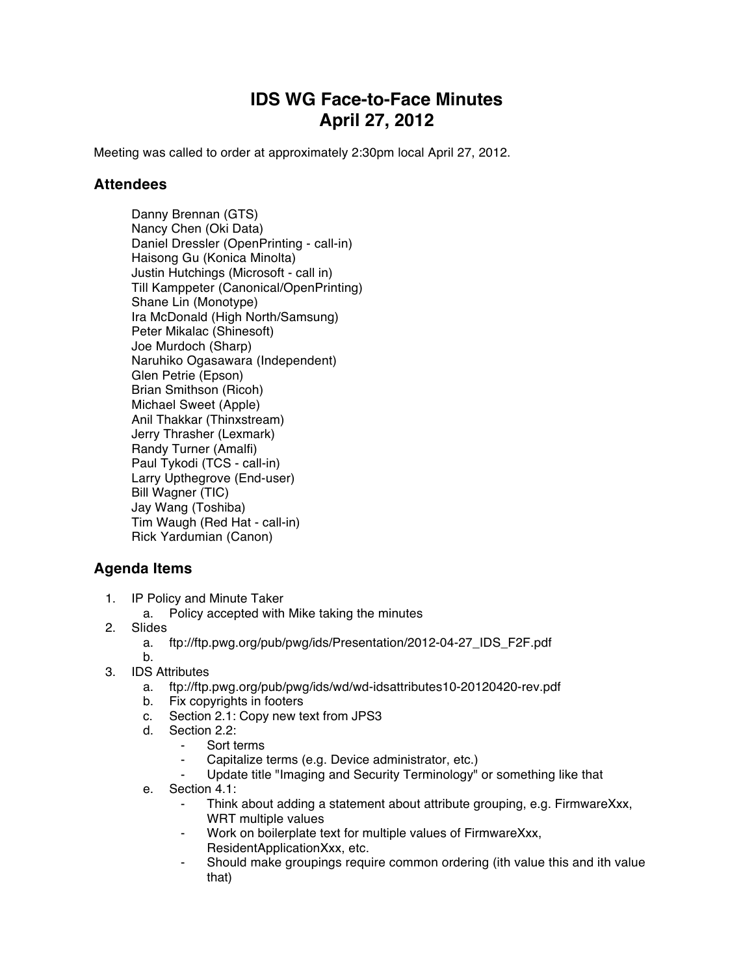## **IDS WG Face-to-Face Minutes April 27, 2012**

Meeting was called to order at approximately 2:30pm local April 27, 2012.

## **Attendees**

Danny Brennan (GTS) Nancy Chen (Oki Data) Daniel Dressler (OpenPrinting - call-in) Haisong Gu (Konica Minolta) Justin Hutchings (Microsoft - call in) Till Kamppeter (Canonical/OpenPrinting) Shane Lin (Monotype) Ira McDonald (High North/Samsung) Peter Mikalac (Shinesoft) Joe Murdoch (Sharp) Naruhiko Ogasawara (Independent) Glen Petrie (Epson) Brian Smithson (Ricoh) Michael Sweet (Apple) Anil Thakkar (Thinxstream) Jerry Thrasher (Lexmark) Randy Turner (Amalfi) Paul Tykodi (TCS - call-in) Larry Upthegrove (End-user) Bill Wagner (TIC) Jay Wang (Toshiba) Tim Waugh (Red Hat - call-in) Rick Yardumian (Canon)

## **Agenda Items**

- 1. IP Policy and Minute Taker
	- a. Policy accepted with Mike taking the minutes
- 2. Slides
	- a. ftp://ftp.pwg.org/pub/pwg/ids/Presentation/2012-04-27\_IDS\_F2F.pdf
	- b.
- 3. IDS Attributes
	- a. ftp://ftp.pwg.org/pub/pwg/ids/wd/wd-idsattributes10-20120420-rev.pdf
	- b. Fix copyrights in footers
	- c. Section 2.1: Copy new text from JPS3
	- d. Section 2.2:
		- ⁃ Sort terms
		- Capitalize terms (e.g. Device administrator, etc.)
		- Update title "Imaging and Security Terminology" or something like that
	- e. Section 4.1:
		- Think about adding a statement about attribute grouping, e.g. FirmwareXxx, WRT multiple values
		- Work on boilerplate text for multiple values of FirmwareXxx, ResidentApplicationXxx, etc.
		- Should make groupings require common ordering (ith value this and ith value that)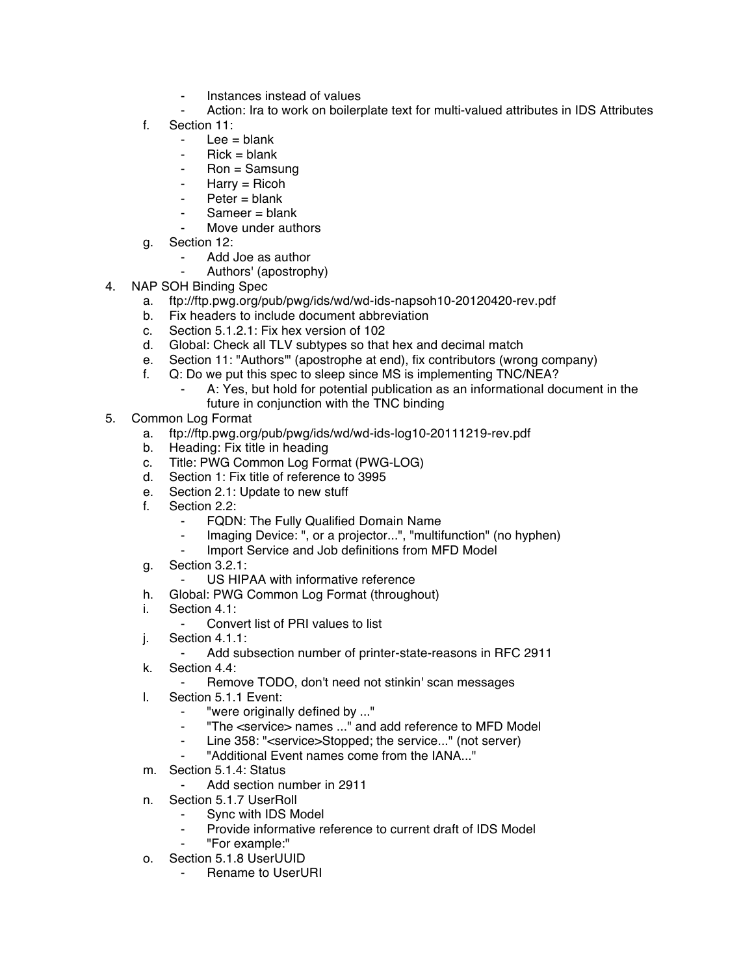- Instances instead of values
- Action: Ira to work on boilerplate text for multi-valued attributes in IDS Attributes
- f. Section 11:
	- $-$  Lee = blank
	- $Pick = blank$
	- $Ron =$  Samsung
	- ⁃ Harry = Ricoh
	- $Peter = blank$
	- $Sameer = blank$
	- Move under authors
- g. Section 12:
	- Add Joe as author
	- ⁃ Authors' (apostrophy)
- 4. NAP SOH Binding Spec
	- a. ftp://ftp.pwg.org/pub/pwg/ids/wd/wd-ids-napsoh10-20120420-rev.pdf
	- b. Fix headers to include document abbreviation
	- c. Section 5.1.2.1: Fix hex version of 102
	- d. Global: Check all TLV subtypes so that hex and decimal match
	- e. Section 11: "Authors'" (apostrophe at end), fix contributors (wrong company)
	- f. Q: Do we put this spec to sleep since MS is implementing TNC/NEA?
		- A: Yes, but hold for potential publication as an informational document in the future in conjunction with the TNC binding
- 5. Common Log Format
	- a. ftp://ftp.pwg.org/pub/pwg/ids/wd/wd-ids-log10-20111219-rev.pdf
	- b. Heading: Fix title in heading
	- c. Title: PWG Common Log Format (PWG-LOG)
	- d. Section 1: Fix title of reference to 3995
	- e. Section 2.1: Update to new stuff
	- f. Section 2.2:
		- FQDN: The Fully Qualified Domain Name
		- Imaging Device: ", or a projector...", "multifunction" (no hyphen)<br>- Import Service and Job definitions from MED Model
		- Import Service and Job definitions from MFD Model
	- g. Section 3.2.1:
		- US HIPAA with informative reference
	- h. Global: PWG Common Log Format (throughout)
	- i. Section 4.1:
		- Convert list of PRI values to list
	- j. Section 4.1.1:
		- ⁃ Add subsection number of printer-state-reasons in RFC 2911
	- k. Section 4.4:
		- Remove TODO, don't need not stinkin' scan messages
	- l. Section 5.1.1 Event:
		- "were originally defined by ..."
		- ⁃ "The <service> names ..." and add reference to MFD Model
		- Line 358: "<service>Stopped: the service..." (not server)
		- ⁃ "Additional Event names come from the IANA..."
	- m. Section 5.1.4: Status
		- Add section number in 2911
	- n. Section 5.1.7 UserRoll
		- ⁃ Sync with IDS Model
		- ⁃ Provide informative reference to current draft of IDS Model
		- ⁃ "For example:"
	- o. Section 5.1.8 UserUUID
		- **Rename to UserURI**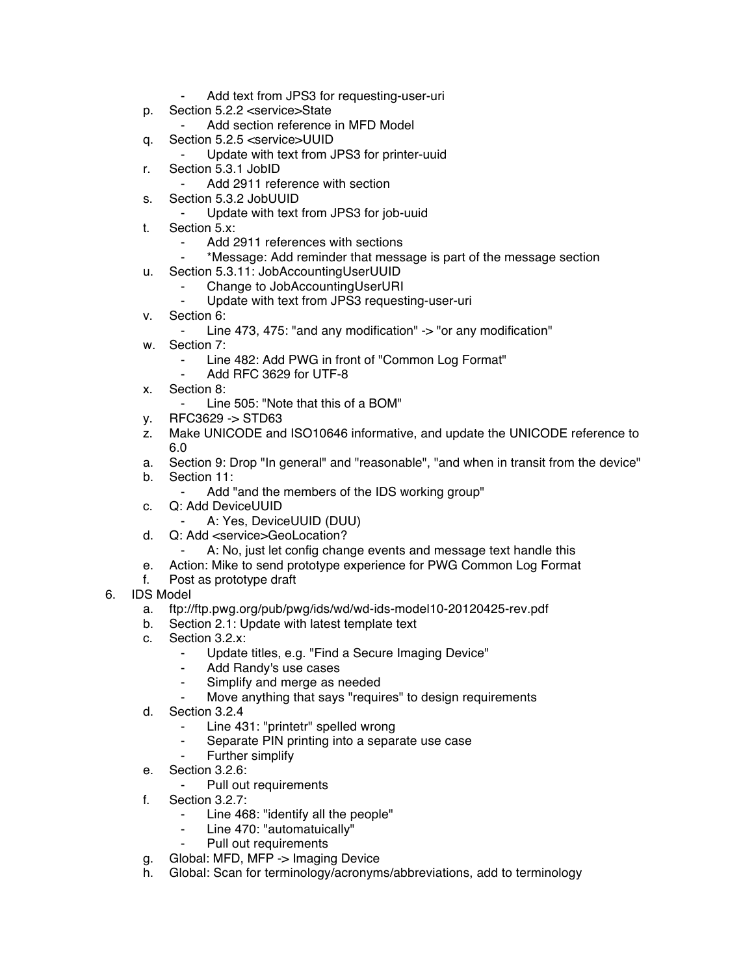- Add text from JPS3 for requesting-user-uri
- p. Section 5.2.2 <service>State
	- Add section reference in MFD Model
- q. Section 5.2.5 <service>UUID
	- Update with text from JPS3 for printer-uuid
- r. Section 5.3.1 JobID
	- Add 2911 reference with section
- s. Section 5.3.2 JobUUID
	- Update with text from JPS3 for job-uuid
- t. Section 5.x:
	- Add 2911 references with sections
	- ⁃ \*Message: Add reminder that message is part of the message section
- u. Section 5.3.11: JobAccountingUserUUID
	- **EXAMPLE Change to JobAccountingUserURI**<br>Fig. 1 Undate with text from JPS3 request
	- Update with text from JPS3 requesting-user-uri
- v. Section 6:
	- Line 473, 475: "and any modification" -> "or any modification"
- w. Section 7:
	- Line 482: Add PWG in front of "Common Log Format"
	- Add RFC 3629 for UTF-8
- x. Section 8:
	- Line 505: "Note that this of a BOM"
- y. RFC3629 -> STD63
- z. Make UNICODE and ISO10646 informative, and update the UNICODE reference to 6.0
- a. Section 9: Drop "In general" and "reasonable", "and when in transit from the device"
- b. Section 11:
	- ⁃ Add "and the members of the IDS working group"
- c. Q: Add DeviceUUID
	- ⁃ A: Yes, DeviceUUID (DUU)
- d. Q: Add <service>GeoLocation?
	- A: No, just let config change events and message text handle this
- e. Action: Mike to send prototype experience for PWG Common Log Format
- f. Post as prototype draft
- 6. IDS Model
	- a. ftp://ftp.pwg.org/pub/pwg/ids/wd/wd-ids-model10-20120425-rev.pdf
	- b. Section 2.1: Update with latest template text
	- c. Section 3.2.x:
		- ⁃ Update titles, e.g. "Find a Secure Imaging Device"
		- ⁃ Add Randy's use cases
		- Simplify and merge as needed
		- Move anything that says "requires" to design requirements
	- d. Section 3.2.4
		- Line 431: "printetr" spelled wrong
		- Separate PIN printing into a separate use case
		- Further simplify
	- e. Section 3.2.6:
		- Pull out requirements
	- f. Section 3.2.7:
		- Line 468: "identify all the people"
		- Line 470: "automatuically"
		- Pull out requirements
	- g. Global: MFD, MFP -> Imaging Device
	- h. Global: Scan for terminology/acronyms/abbreviations, add to terminology